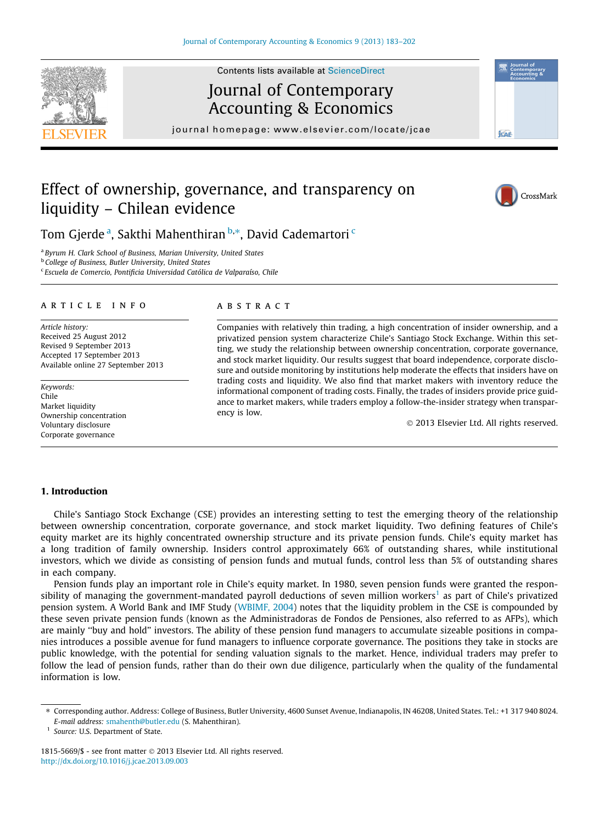

Contents lists available at [ScienceDirect](http://www.sciencedirect.com/science/journal/18155669)

# Journal of Contemporary Accounting & Economics

journal homepage: [www.elsevier.com/locate/jcae](http://www.elsevier.com/locate/jcae)

# **ICAR**

# Effect of ownership, governance, and transparency on liquidity – Chilean evidence



Tom Gjerde <sup>a</sup>, Sakthi Mahenthiran <sup>b,</sup>\*, David Cademartori <sup>c</sup>

<sup>a</sup> Byrum H. Clark School of Business, Marian University, United States

b College of Business, Butler University, United States

<sup>c</sup> Escuela de Comercio, Pontificia Universidad Católica de Valparaíso, Chile

### article info

Article history: Received 25 August 2012 Revised 9 September 2013 Accepted 17 September 2013 Available online 27 September 2013

Keywords: Chile Market liquidity Ownership concentration Voluntary disclosure Corporate governance

### **ABSTRACT**

Companies with relatively thin trading, a high concentration of insider ownership, and a privatized pension system characterize Chile's Santiago Stock Exchange. Within this setting, we study the relationship between ownership concentration, corporate governance, and stock market liquidity. Our results suggest that board independence, corporate disclosure and outside monitoring by institutions help moderate the effects that insiders have on trading costs and liquidity. We also find that market makers with inventory reduce the informational component of trading costs. Finally, the trades of insiders provide price guidance to market makers, while traders employ a follow-the-insider strategy when transparency is low.

- 2013 Elsevier Ltd. All rights reserved.

### 1. Introduction

Chile's Santiago Stock Exchange (CSE) provides an interesting setting to test the emerging theory of the relationship between ownership concentration, corporate governance, and stock market liquidity. Two defining features of Chile's equity market are its highly concentrated ownership structure and its private pension funds. Chile's equity market has a long tradition of family ownership. Insiders control approximately 66% of outstanding shares, while institutional investors, which we divide as consisting of pension funds and mutual funds, control less than 5% of outstanding shares in each company.

Pension funds play an important role in Chile's equity market. In 1980, seven pension funds were granted the responsibility of managing the government-mandated payroll deductions of seven million workers<sup>1</sup> as part of Chile's privatized pension system. A World Bank and IMF Study [\(WBIMF, 2004\)](#page--1-0) notes that the liquidity problem in the CSE is compounded by these seven private pension funds (known as the Administradoras de Fondos de Pensiones, also referred to as AFPs), which are mainly ''buy and hold'' investors. The ability of these pension fund managers to accumulate sizeable positions in companies introduces a possible avenue for fund managers to influence corporate governance. The positions they take in stocks are public knowledge, with the potential for sending valuation signals to the market. Hence, individual traders may prefer to follow the lead of pension funds, rather than do their own due diligence, particularly when the quality of the fundamental information is low.

<sup>1</sup> Source: U.S. Department of State.

<sup>⇑</sup> Corresponding author. Address: College of Business, Butler University, 4600 Sunset Avenue, Indianapolis, IN 46208, United States. Tel.: +1 317 940 8024. E-mail address: [smahenth@butler.edu](mailto:smahenth@butler.edu) (S. Mahenthiran).

<sup>1815-5669/\$ -</sup> see front matter © 2013 Elsevier Ltd. All rights reserved. <http://dx.doi.org/10.1016/j.jcae.2013.09.003>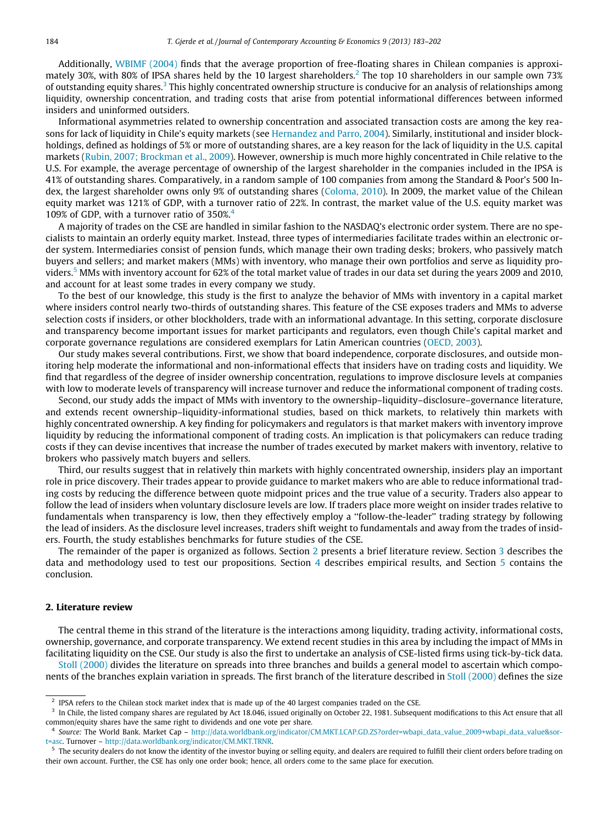Additionally, [WBIMF \(2004\)](#page--1-0) finds that the average proportion of free-floating shares in Chilean companies is approximately 30%, with 80% of IPSA shares held by the 10 largest shareholders.<sup>2</sup> The top 10 shareholders in our sample own 73% of outstanding equity shares.<sup>3</sup> This highly concentrated ownership structure is conducive for an analysis of relationships among liquidity, ownership concentration, and trading costs that arise from potential informational differences between informed insiders and uninformed outsiders.

Informational asymmetries related to ownership concentration and associated transaction costs are among the key reasons for lack of liquidity in Chile's equity markets (see [Hernandez and Parro, 2004\)](#page--1-0). Similarly, institutional and insider blockholdings, defined as holdings of 5% or more of outstanding shares, are a key reason for the lack of liquidity in the U.S. capital markets ([Rubin, 2007; Brockman et al., 2009](#page--1-0)). However, ownership is much more highly concentrated in Chile relative to the U.S. For example, the average percentage of ownership of the largest shareholder in the companies included in the IPSA is 41% of outstanding shares. Comparatively, in a random sample of 100 companies from among the Standard & Poor's 500 Index, the largest shareholder owns only 9% of outstanding shares ([Coloma, 2010\)](#page--1-0). In 2009, the market value of the Chilean equity market was 121% of GDP, with a turnover ratio of 22%. In contrast, the market value of the U.S. equity market was 109% of GDP, with a turnover ratio of 350%. $4$ 

A majority of trades on the CSE are handled in similar fashion to the NASDAQ's electronic order system. There are no specialists to maintain an orderly equity market. Instead, three types of intermediaries facilitate trades within an electronic order system. Intermediaries consist of pension funds, which manage their own trading desks; brokers, who passively match buyers and sellers; and market makers (MMs) with inventory, who manage their own portfolios and serve as liquidity providers.<sup>5</sup> MMs with inventory account for 62% of the total market value of trades in our data set during the years 2009 and 2010, and account for at least some trades in every company we study.

To the best of our knowledge, this study is the first to analyze the behavior of MMs with inventory in a capital market where insiders control nearly two-thirds of outstanding shares. This feature of the CSE exposes traders and MMs to adverse selection costs if insiders, or other blockholders, trade with an informational advantage. In this setting, corporate disclosure and transparency become important issues for market participants and regulators, even though Chile's capital market and corporate governance regulations are considered exemplars for Latin American countries [\(OECD, 2003\)](#page--1-0).

Our study makes several contributions. First, we show that board independence, corporate disclosures, and outside monitoring help moderate the informational and non-informational effects that insiders have on trading costs and liquidity. We find that regardless of the degree of insider ownership concentration, regulations to improve disclosure levels at companies with low to moderate levels of transparency will increase turnover and reduce the informational component of trading costs.

Second, our study adds the impact of MMs with inventory to the ownership–liquidity–disclosure–governance literature, and extends recent ownership–liquidity-informational studies, based on thick markets, to relatively thin markets with highly concentrated ownership. A key finding for policymakers and regulators is that market makers with inventory improve liquidity by reducing the informational component of trading costs. An implication is that policymakers can reduce trading costs if they can devise incentives that increase the number of trades executed by market makers with inventory, relative to brokers who passively match buyers and sellers.

Third, our results suggest that in relatively thin markets with highly concentrated ownership, insiders play an important role in price discovery. Their trades appear to provide guidance to market makers who are able to reduce informational trading costs by reducing the difference between quote midpoint prices and the true value of a security. Traders also appear to follow the lead of insiders when voluntary disclosure levels are low. If traders place more weight on insider trades relative to fundamentals when transparency is low, then they effectively employ a ''follow-the-leader'' trading strategy by following the lead of insiders. As the disclosure level increases, traders shift weight to fundamentals and away from the trades of insiders. Fourth, the study establishes benchmarks for future studies of the CSE.

The remainder of the paper is organized as follows. Section 2 presents a brief literature review. Section [3](#page--1-0) describes the data and methodology used to test our propositions. Section [4](#page--1-0) describes empirical results, and Section [5](#page--1-0) contains the conclusion.

### 2. Literature review

The central theme in this strand of the literature is the interactions among liquidity, trading activity, informational costs, ownership, governance, and corporate transparency. We extend recent studies in this area by including the impact of MMs in facilitating liquidity on the CSE. Our study is also the first to undertake an analysis of CSE-listed firms using tick-by-tick data.

[Stoll \(2000\)](#page--1-0) divides the literature on spreads into three branches and builds a general model to ascertain which components of the branches explain variation in spreads. The first branch of the literature described in [Stoll \(2000\)](#page--1-0) defines the size

<sup>2</sup> IPSA refers to the Chilean stock market index that is made up of the 40 largest companies traded on the CSE.

<sup>&</sup>lt;sup>3</sup> In Chile, the listed company shares are regulated by Act 18.046, issued originally on October 22, 1981. Subsequent modifications to this Act ensure that all common/equity shares have the same right to dividends and one vote per share.

<sup>4</sup> Source: The World Bank. Market Cap – [http://data.worldbank.org/indicator/CM.MKT.LCAP.GD.ZS?order=wbapi\\_data\\_value\\_2009+wbapi\\_data\\_value&sor](http://data.worldbank.org/indicator/CM.MKT.LCAP.GD.ZS?order=wbapi_data_value_2009+wbapi_data_value&sort=asc)[t=asc](http://data.worldbank.org/indicator/CM.MKT.LCAP.GD.ZS?order=wbapi_data_value_2009+wbapi_data_value&sort=asc). Turnover – [http://data.worldbank.org/indicator/CM.MKT.TRNR.](http://data.worldbank.org/indicator/CM.MKT.TRNR)

<sup>&</sup>lt;sup>5</sup> The security dealers do not know the identity of the investor buying or selling equity, and dealers are required to fulfill their client orders before trading on their own account. Further, the CSE has only one order book; hence, all orders come to the same place for execution.